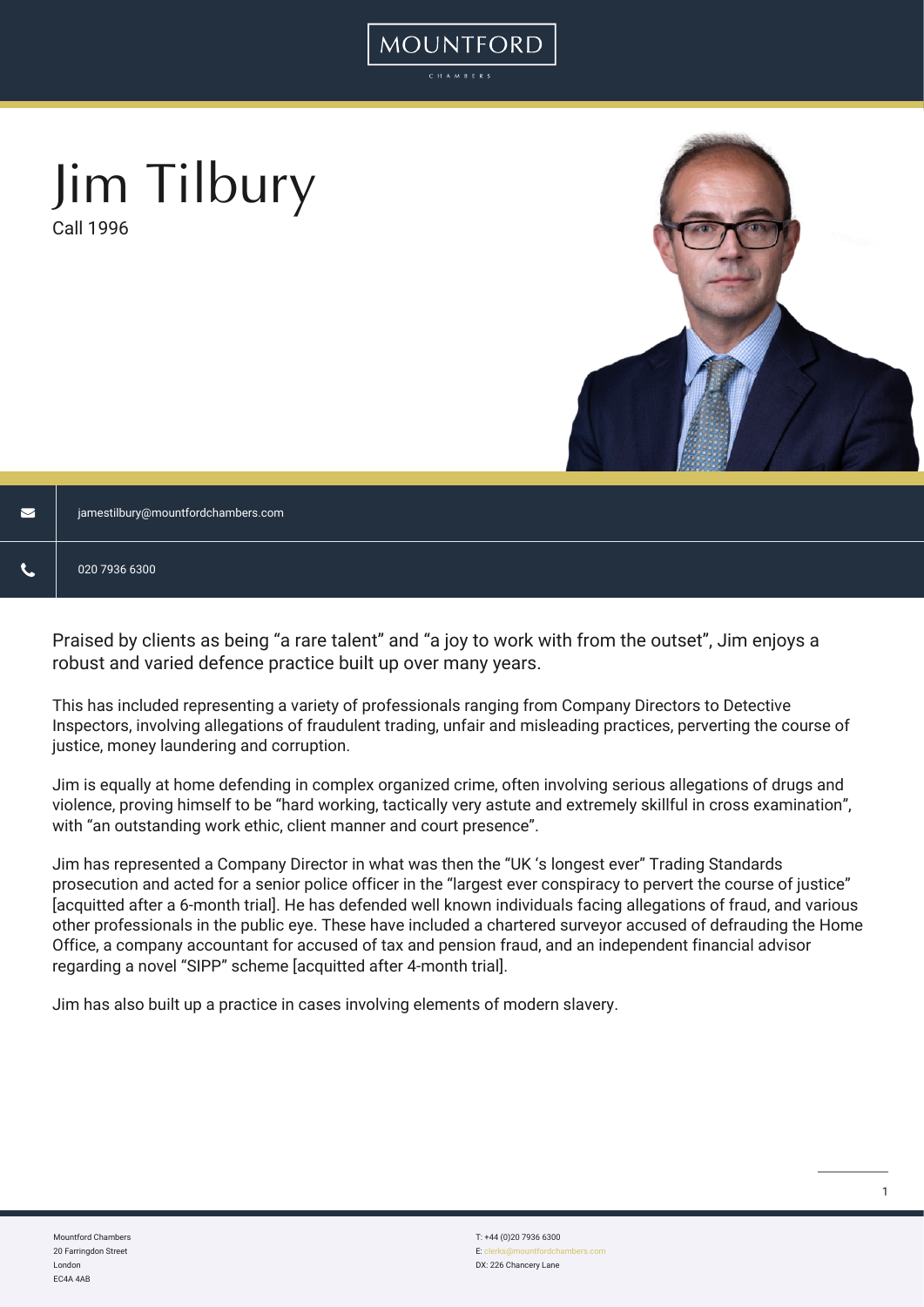# Jim Tilbury

Call 1996



| M | jamestilbury@mountfordchambers.com |
|---|------------------------------------|
|   | 020 7936 6300                      |

Praised by clients as being "a rare talent" and "a joy to work with from the outset", Jim enjoys a robust and varied defence practice built up over many years.

MOUNTFORD

This has included representing a variety of professionals ranging from Company Directors to Detective Inspectors, involving allegations of fraudulent trading, unfair and misleading practices, perverting the course of justice, money laundering and corruption.

Jim is equally at home defending in complex organized crime, often involving serious allegations of drugs and violence, proving himself to be "hard working, tactically very astute and extremely skillful in cross examination", with "an outstanding work ethic, client manner and court presence".

Jim has represented a Company Director in what was then the "UK 's longest ever" Trading Standards prosecution and acted for a senior police officer in the "largest ever conspiracy to pervert the course of justice" [acquitted after a 6-month trial]. He has defended well known individuals facing allegations of fraud, and various other professionals in the public eye. These have included a chartered surveyor accused of defrauding the Home Office, a company accountant for accused of tax and pension fraud, and an independent financial advisor regarding a novel "SIPP" scheme [acquitted after 4-month trial].

Jim has also built up a practice in cases involving elements of modern slavery.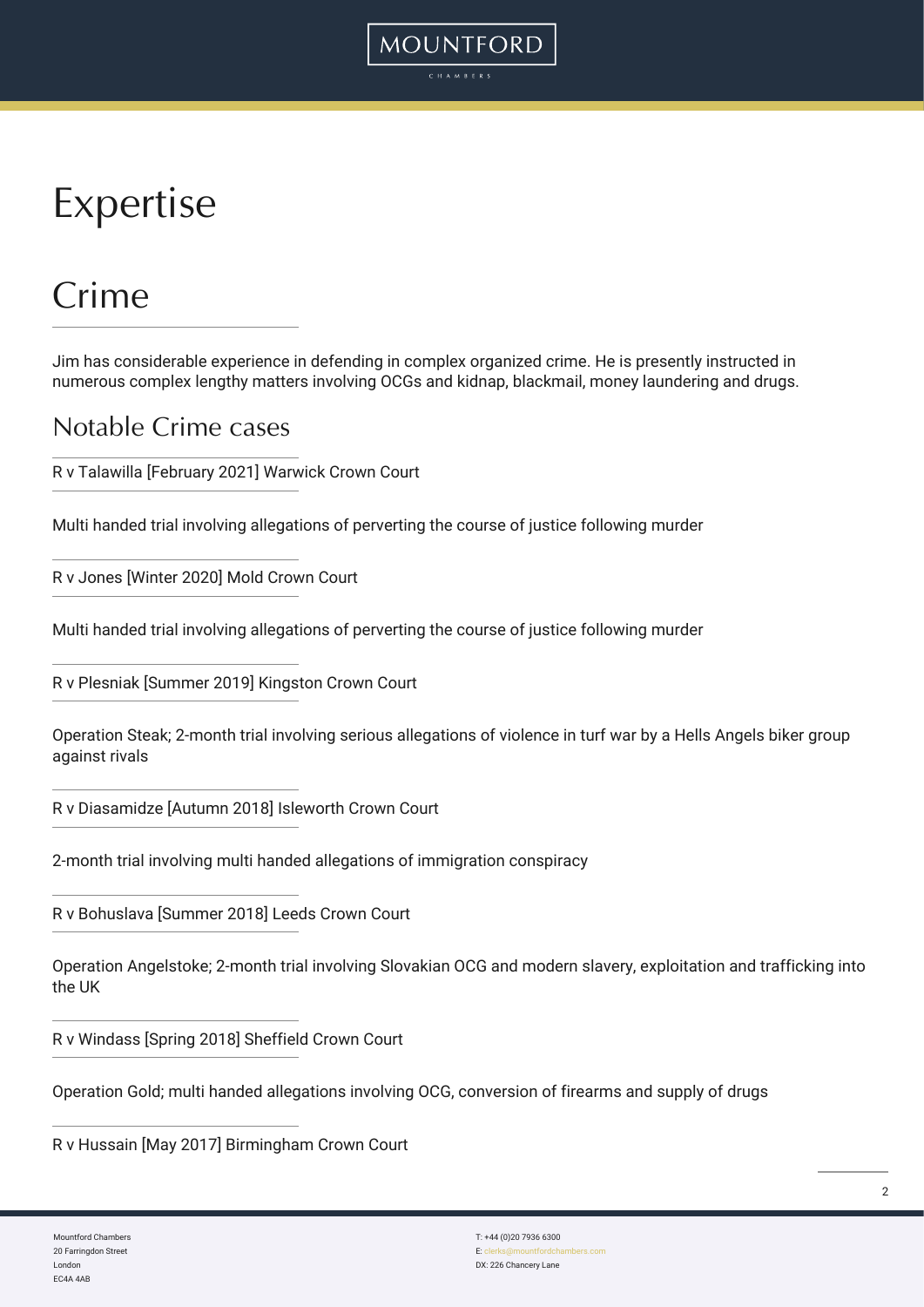# Expertise

### Crime

Jim has considerable experience in defending in complex organized crime. He is presently instructed in numerous complex lengthy matters involving OCGs and kidnap, blackmail, money laundering and drugs.

**MOUNTFORD** 

#### Notable Crime cases

R v Talawilla [February 2021] Warwick Crown Court

Multi handed trial involving allegations of perverting the course of justice following murder

R v Jones [Winter 2020] Mold Crown Court

Multi handed trial involving allegations of perverting the course of justice following murder

R v Plesniak [Summer 2019] Kingston Crown Court

Operation Steak; 2-month trial involving serious allegations of violence in turf war by a Hells Angels biker group against rivals

R v Diasamidze [Autumn 2018] Isleworth Crown Court

2-month trial involving multi handed allegations of immigration conspiracy

R v Bohuslava [Summer 2018] Leeds Crown Court

Operation Angelstoke; 2-month trial involving Slovakian OCG and modern slavery, exploitation and trafficking into the UK

R v Windass [Spring 2018] Sheffield Crown Court

Operation Gold; multi handed allegations involving OCG, conversion of firearms and supply of drugs

R v Hussain [May 2017] Birmingham Crown Court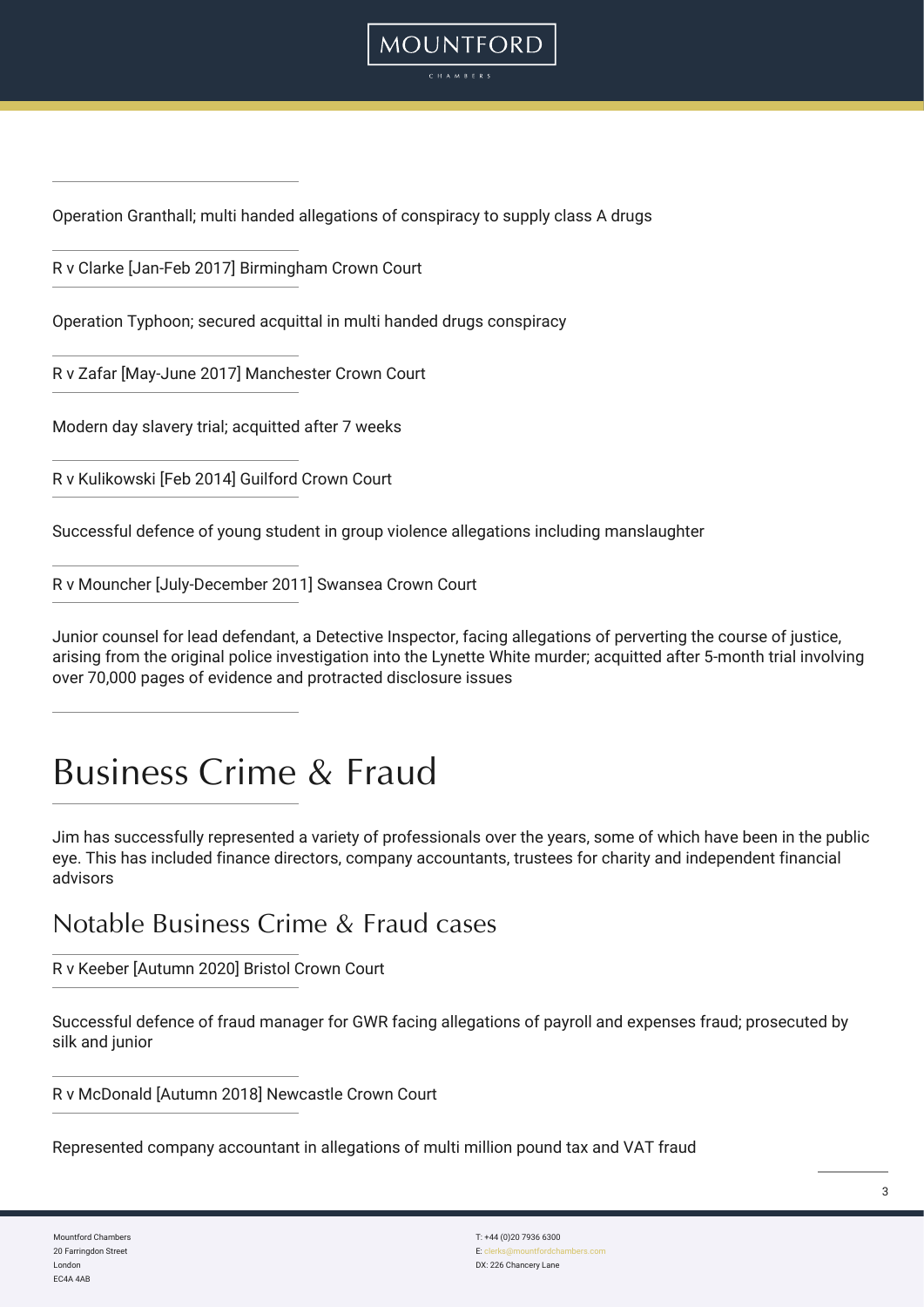

Operation Granthall; multi handed allegations of conspiracy to supply class A drugs

R v Clarke [Jan-Feb 2017] Birmingham Crown Court

Operation Typhoon; secured acquittal in multi handed drugs conspiracy

R v Zafar [May-June 2017] Manchester Crown Court

Modern day slavery trial; acquitted after 7 weeks

R v Kulikowski [Feb 2014] Guilford Crown Court

Successful defence of young student in group violence allegations including manslaughter

R v Mouncher [July-December 2011] Swansea Crown Court

Junior counsel for lead defendant, a Detective Inspector, facing allegations of perverting the course of justice, arising from the original police investigation into the Lynette White murder; acquitted after 5-month trial involving over 70,000 pages of evidence and protracted disclosure issues

### Business Crime & Fraud

Jim has successfully represented a variety of professionals over the years, some of which have been in the public eye. This has included finance directors, company accountants, trustees for charity and independent financial advisors

Notable Business Crime & Fraud cases

R v Keeber [Autumn 2020] Bristol Crown Court

Successful defence of fraud manager for GWR facing allegations of payroll and expenses fraud; prosecuted by silk and junior

R v McDonald [Autumn 2018] Newcastle Crown Court

Represented company accountant in allegations of multi million pound tax and VAT fraud